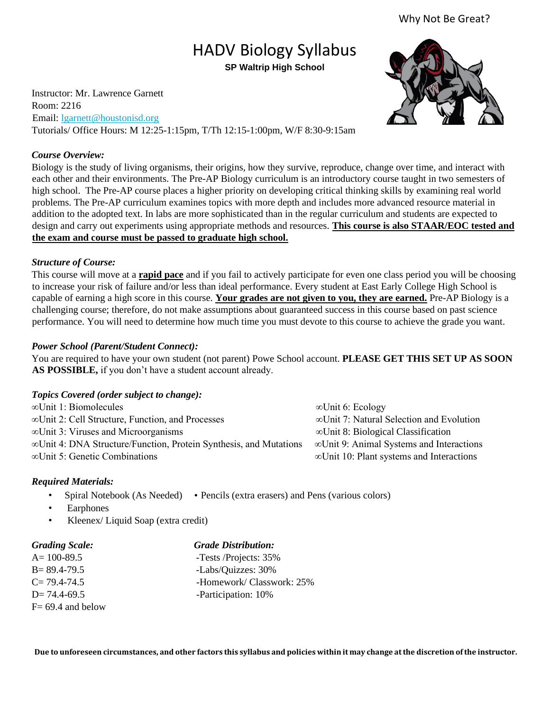## Why Not Be Great?

# HADV Biology Syllabus **SP Waltrip High School**

Instructor: Mr. Lawrence Garnett Room: 2216 Email: lgarnett@houstonisd.org Tutorials/ Office Hours: M 12:25-1:15pm, T/Th 12:15-1:00pm, W/F 8:30-9:15am

#### *Course Overview:*

Biology is the study of living organisms, their origins, how they survive, reproduce, change over time, and interact with each other and their environments. The Pre-AP Biology curriculum is an introductory course taught in two semesters of high school. The Pre-AP course places a higher priority on developing critical thinking skills by examining real world problems. The Pre-AP curriculum examines topics with more depth and includes more advanced resource material in addition to the adopted text. In labs are more sophisticated than in the regular curriculum and students are expected to design and carry out experiments using appropriate methods and resources. **This course is also STAAR/EOC tested and the exam and course must be passed to graduate high school.**

## *Structure of Course:*

This course will move at a **rapid pace** and if you fail to actively participate for even one class period you will be choosing to increase your risk of failure and/or less than ideal performance. Every student at East Early College High School is capable of earning a high score in this course. **Your grades are not given to you, they are earned.** Pre-AP Biology is a challenging course; therefore, do not make assumptions about guaranteed success in this course based on past science performance. You will need to determine how much time you must devote to this course to achieve the grade you want.

## *Power School (Parent/Student Connect):*

You are required to have your own student (not parent) Powe School account. **PLEASE GET THIS SET UP AS SOON AS POSSIBLE,** if you don't have a student account already.

## *Topics Covered (order subject to change):*

| $\infty$ Unit 1: Biomolecules                                             | $\infty$ Unit 6: Ecology                         |
|---------------------------------------------------------------------------|--------------------------------------------------|
| ∞Unit 2: Cell Structure, Function, and Processes                          | $\infty$ Unit 7: Natural Selection and Evolution |
| $\infty$ Unit 3: Viruses and Microorganisms                               | $\infty$ Unit 8: Biological Classification       |
| $\infty$ Unit 4: DNA Structure/Function, Protein Synthesis, and Mutations | ∞Unit 9: Animal Systems and Interactions         |
| $\infty$ Unit 5: Genetic Combinations                                     | $\infty$ Unit 10: Plant systems and Interactions |

## *Required Materials:*

- Spiral Notebook (As Needed) Pencils (extra erasers) and Pens (various colors)
- **Earphones**
- Kleenex/ Liquid Soap (extra credit)

| <b>Grading Scale:</b> | <b>Grade Distribution:</b> |
|-----------------------|----------------------------|
| $A = 100 - 89.5$      | -Tests/Projects: 35%       |
| $B = 89.4 - 79.5$     | -Labs/Quizzes: 30%         |
| $C = 79.4 - 74.5$     | -Homework/ Classwork: 25%  |
| $D = 74.4 - 69.5$     | -Participation: 10%        |
| $F = 69.4$ and below  |                            |

**Due to unforeseen circumstances, and other factors this syllabus and policies within it may change at the discretion of the instructor.** 

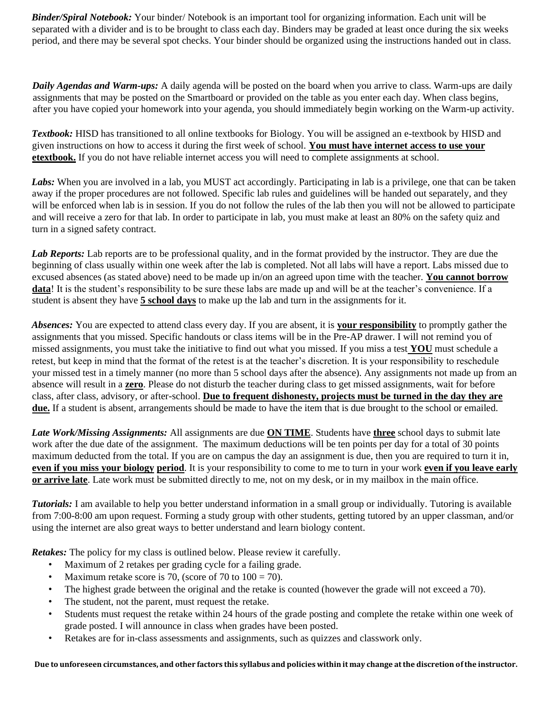*Binder/Spiral Notebook:* Your binder/ Notebook is an important tool for organizing information. Each unit will be separated with a divider and is to be brought to class each day. Binders may be graded at least once during the six weeks period, and there may be several spot checks. Your binder should be organized using the instructions handed out in class.

*Daily Agendas and Warm-ups:* A daily agenda will be posted on the board when you arrive to class. Warm-ups are daily assignments that may be posted on the Smartboard or provided on the table as you enter each day. When class begins, after you have copied your homework into your agenda, you should immediately begin working on the Warm-up activity.

*Textbook:* HISD has transitioned to all online textbooks for Biology. You will be assigned an e-textbook by HISD and given instructions on how to access it during the first week of school. **You must have internet access to use your etextbook.** If you do not have reliable internet access you will need to complete assignments at school.

Labs: When you are involved in a lab, you MUST act accordingly. Participating in lab is a privilege, one that can be taken away if the proper procedures are not followed. Specific lab rules and guidelines will be handed out separately, and they will be enforced when lab is in session. If you do not follow the rules of the lab then you will not be allowed to participate and will receive a zero for that lab. In order to participate in lab, you must make at least an 80% on the safety quiz and turn in a signed safety contract.

Lab Reports: Lab reports are to be professional quality, and in the format provided by the instructor. They are due the beginning of class usually within one week after the lab is completed. Not all labs will have a report. Labs missed due to excused absences (as stated above) need to be made up in/on an agreed upon time with the teacher. **You cannot borrow data**! It is the student's responsibility to be sure these labs are made up and will be at the teacher's convenience. If a student is absent they have **5 school days** to make up the lab and turn in the assignments for it.

*Absences:* You are expected to attend class every day. If you are absent, it is **your responsibility** to promptly gather the assignments that you missed. Specific handouts or class items will be in the Pre-AP drawer. I will not remind you of missed assignments, you must take the initiative to find out what you missed. If you miss a test **YOU** must schedule a retest, but keep in mind that the format of the retest is at the teacher's discretion. It is your responsibility to reschedule your missed test in a timely manner (no more than 5 school days after the absence). Any assignments not made up from an absence will result in a **zero**. Please do not disturb the teacher during class to get missed assignments, wait for before class, after class, advisory, or after-school. **Due to frequent dishonesty, projects must be turned in the day they are due.** If a student is absent, arrangements should be made to have the item that is due brought to the school or emailed.

*Late Work/Missing Assignments:* All assignments are due **ON TIME**. Students have **three** school days to submit late work after the due date of the assignment. The maximum deductions will be ten points per day for a total of 30 points maximum deducted from the total. If you are on campus the day an assignment is due, then you are required to turn it in, **even if you miss your biology period**. It is your responsibility to come to me to turn in your work **even if you leave early or arrive late**. Late work must be submitted directly to me, not on my desk, or in my mailbox in the main office.

*Tutorials:* I am available to help you better understand information in a small group or individually. Tutoring is available from 7:00-8:00 am upon request. Forming a study group with other students, getting tutored by an upper classman, and/or using the internet are also great ways to better understand and learn biology content.

*Retakes:* The policy for my class is outlined below. Please review it carefully.

- Maximum of 2 retakes per grading cycle for a failing grade.
- Maximum retake score is 70, (score of 70 to  $100 = 70$ ).
- The highest grade between the original and the retake is counted (however the grade will not exceed a 70).
- The student, not the parent, must request the retake.
- Students must request the retake within 24 hours of the grade posting and complete the retake within one week of grade posted. I will announce in class when grades have been posted.
- Retakes are for in-class assessments and assignments, such as quizzes and classwork only.

**Due to unforeseen circumstances, and other factors this syllabus and policies within it may change at the discretion of the instructor.**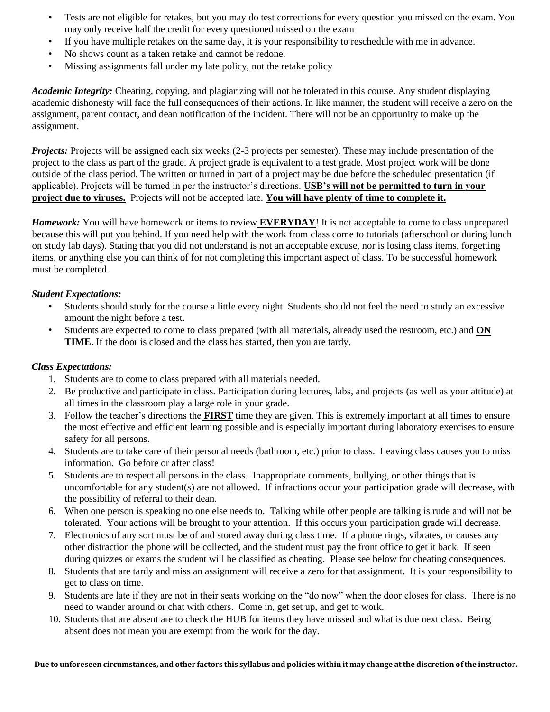- Tests are not eligible for retakes, but you may do test corrections for every question you missed on the exam. You may only receive half the credit for every questioned missed on the exam
- If you have multiple retakes on the same day, it is your responsibility to reschedule with me in advance.
- No shows count as a taken retake and cannot be redone.
- Missing assignments fall under my late policy, not the retake policy

*Academic Integrity:* Cheating, copying, and plagiarizing will not be tolerated in this course. Any student displaying academic dishonesty will face the full consequences of their actions. In like manner, the student will receive a zero on the assignment, parent contact, and dean notification of the incident. There will not be an opportunity to make up the assignment.

*Projects:* Projects will be assigned each six weeks (2-3 projects per semester). These may include presentation of the project to the class as part of the grade. A project grade is equivalent to a test grade. Most project work will be done outside of the class period. The written or turned in part of a project may be due before the scheduled presentation (if applicable). Projects will be turned in per the instructor's directions. **USB's will not be permitted to turn in your project due to viruses.** Projects will not be accepted late. **You will have plenty of time to complete it.**

*Homework:* You will have homework or items to review **EVERYDAY**! It is not acceptable to come to class unprepared because this will put you behind. If you need help with the work from class come to tutorials (afterschool or during lunch on study lab days). Stating that you did not understand is not an acceptable excuse, nor is losing class items, forgetting items, or anything else you can think of for not completing this important aspect of class. To be successful homework must be completed.

## *Student Expectations:*

- Students should study for the course a little every night. Students should not feel the need to study an excessive amount the night before a test.
- Students are expected to come to class prepared (with all materials, already used the restroom, etc.) and **ON TIME.** If the door is closed and the class has started, then you are tardy.

## *Class Expectations:*

- 1. Students are to come to class prepared with all materials needed.
- 2. Be productive and participate in class. Participation during lectures, labs, and projects (as well as your attitude) at all times in the classroom play a large role in your grade.
- 3. Follow the teacher's directions the **FIRST** time they are given. This is extremely important at all times to ensure the most effective and efficient learning possible and is especially important during laboratory exercises to ensure safety for all persons.
- 4. Students are to take care of their personal needs (bathroom, etc.) prior to class. Leaving class causes you to miss information. Go before or after class!
- 5. Students are to respect all persons in the class. Inappropriate comments, bullying, or other things that is uncomfortable for any student(s) are not allowed. If infractions occur your participation grade will decrease, with the possibility of referral to their dean.
- 6. When one person is speaking no one else needs to. Talking while other people are talking is rude and will not be tolerated. Your actions will be brought to your attention. If this occurs your participation grade will decrease.
- 7. Electronics of any sort must be of and stored away during class time. If a phone rings, vibrates, or causes any other distraction the phone will be collected, and the student must pay the front office to get it back. If seen during quizzes or exams the student will be classified as cheating. Please see below for cheating consequences.
- 8. Students that are tardy and miss an assignment will receive a zero for that assignment. It is your responsibility to get to class on time.
- 9. Students are late if they are not in their seats working on the "do now" when the door closes for class. There is no need to wander around or chat with others. Come in, get set up, and get to work.
- 10. Students that are absent are to check the HUB for items they have missed and what is due next class. Being absent does not mean you are exempt from the work for the day.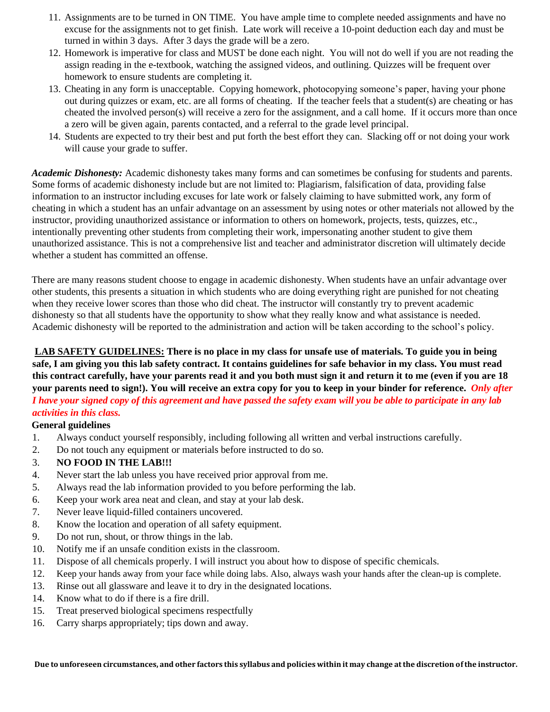- 11. Assignments are to be turned in ON TIME. You have ample time to complete needed assignments and have no excuse for the assignments not to get finish. Late work will receive a 10-point deduction each day and must be turned in within 3 days. After 3 days the grade will be a zero.
- 12. Homework is imperative for class and MUST be done each night. You will not do well if you are not reading the assign reading in the e-textbook, watching the assigned videos, and outlining. Quizzes will be frequent over homework to ensure students are completing it.
- 13. Cheating in any form is unacceptable. Copying homework, photocopying someone's paper, having your phone out during quizzes or exam, etc. are all forms of cheating. If the teacher feels that a student(s) are cheating or has cheated the involved person(s) will receive a zero for the assignment, and a call home. If it occurs more than once a zero will be given again, parents contacted, and a referral to the grade level principal.
- 14. Students are expected to try their best and put forth the best effort they can. Slacking off or not doing your work will cause your grade to suffer.

*Academic Dishonesty:* Academic dishonesty takes many forms and can sometimes be confusing for students and parents. Some forms of academic dishonesty include but are not limited to: Plagiarism, falsification of data, providing false information to an instructor including excuses for late work or falsely claiming to have submitted work, any form of cheating in which a student has an unfair advantage on an assessment by using notes or other materials not allowed by the instructor, providing unauthorized assistance or information to others on homework, projects, tests, quizzes, etc., intentionally preventing other students from completing their work, impersonating another student to give them unauthorized assistance. This is not a comprehensive list and teacher and administrator discretion will ultimately decide whether a student has committed an offense.

There are many reasons student choose to engage in academic dishonesty. When students have an unfair advantage over other students, this presents a situation in which students who are doing everything right are punished for not cheating when they receive lower scores than those who did cheat. The instructor will constantly try to prevent academic dishonesty so that all students have the opportunity to show what they really know and what assistance is needed. Academic dishonesty will be reported to the administration and action will be taken according to the school's policy.

**LAB SAFETY GUIDELINES: There is no place in my class for unsafe use of materials. To guide you in being safe, I am giving you this lab safety contract. It contains guidelines for safe behavior in my class. You must read this contract carefully, have your parents read it and you both must sign it and return it to me (even if you are 18 your parents need to sign!). You will receive an extra copy for you to keep in your binder for reference.** *Only after I have your signed copy of this agreement and have passed the safety exam will you be able to participate in any lab activities in this class.*

## **General guidelines**

- 1. Always conduct yourself responsibly, including following all written and verbal instructions carefully.
- 2. Do not touch any equipment or materials before instructed to do so.
- 3. **NO FOOD IN THE LAB!!!**
- 4. Never start the lab unless you have received prior approval from me.
- 5. Always read the lab information provided to you before performing the lab.
- 6. Keep your work area neat and clean, and stay at your lab desk.
- 7. Never leave liquid-filled containers uncovered.
- 8. Know the location and operation of all safety equipment.
- 9. Do not run, shout, or throw things in the lab.
- 10. Notify me if an unsafe condition exists in the classroom.
- 11. Dispose of all chemicals properly. I will instruct you about how to dispose of specific chemicals.
- 12. Keep your hands away from your face while doing labs. Also, always wash your hands after the clean-up is complete.
- 13. Rinse out all glassware and leave it to dry in the designated locations.
- 14. Know what to do if there is a fire drill.
- 15. Treat preserved biological specimens respectfully
- 16. Carry sharps appropriately; tips down and away.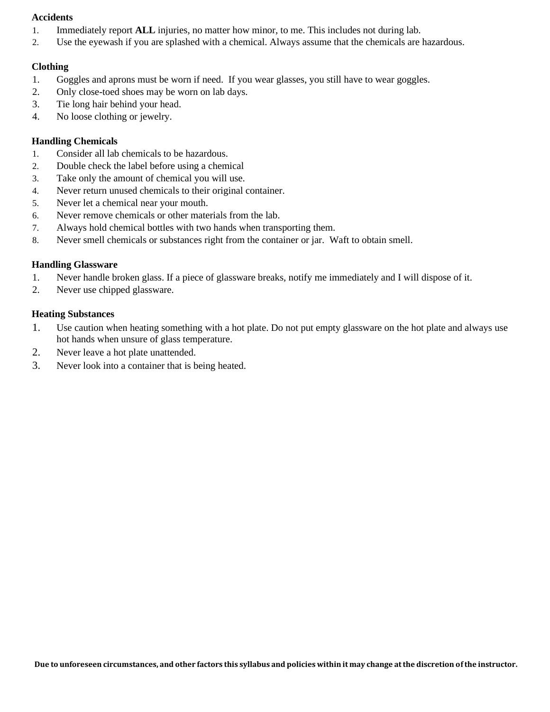## **Accidents**

- 1. Immediately report **ALL** injuries, no matter how minor, to me. This includes not during lab.
- 2. Use the eyewash if you are splashed with a chemical. Always assume that the chemicals are hazardous.

## **Clothing**

- 1. Goggles and aprons must be worn if need. If you wear glasses, you still have to wear goggles.
- 2. Only close-toed shoes may be worn on lab days.
- 3. Tie long hair behind your head.
- 4. No loose clothing or jewelry.

## **Handling Chemicals**

- 1. Consider all lab chemicals to be hazardous.
- 2. Double check the label before using a chemical
- 3. Take only the amount of chemical you will use.
- 4. Never return unused chemicals to their original container.
- 5. Never let a chemical near your mouth.
- 6. Never remove chemicals or other materials from the lab.
- 7. Always hold chemical bottles with two hands when transporting them.
- 8. Never smell chemicals or substances right from the container or jar. Waft to obtain smell.

## **Handling Glassware**

- 1. Never handle broken glass. If a piece of glassware breaks, notify me immediately and I will dispose of it.
- 2. Never use chipped glassware.

## **Heating Substances**

- 1. Use caution when heating something with a hot plate. Do not put empty glassware on the hot plate and always use hot hands when unsure of glass temperature.
- 2. Never leave a hot plate unattended.
- 3. Never look into a container that is being heated.